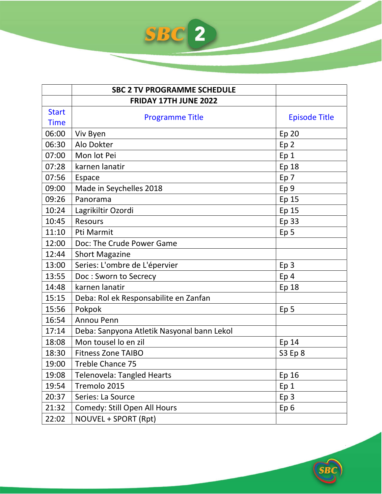

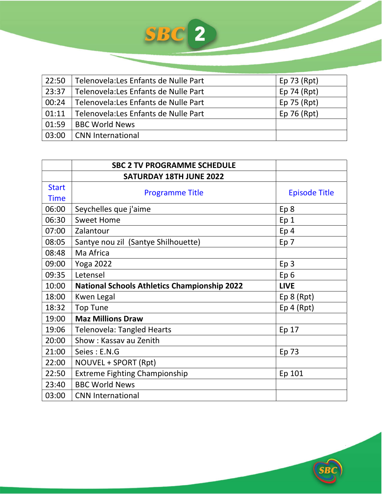| 22:50         | Telenovela: Les Enfants de Nulle Part | Ep $73$ (Rpt) |
|---------------|---------------------------------------|---------------|
| 23:37         | Telenovela: Les Enfants de Nulle Part | Ep 74 (Rpt)   |
| 00:24         | Telenovela: Les Enfants de Nulle Part | Ep $75$ (Rpt) |
| $\vert$ 01:11 | Telenovela: Les Enfants de Nulle Part | Ep $76$ (Rpt) |
| 01:59         | <b>BBC World News</b>                 |               |
| 03:00         | <b>CNN International</b>              |               |

|              | <b>SBC 2 TV PROGRAMME SCHEDULE</b>                  |                      |
|--------------|-----------------------------------------------------|----------------------|
|              | <b>SATURDAY 18TH JUNE 2022</b>                      |                      |
| <b>Start</b> |                                                     |                      |
| <b>Time</b>  | <b>Programme Title</b>                              | <b>Episode Title</b> |
| 06:00        | Seychelles que j'aime                               | Ep 8                 |
| 06:30        | <b>Sweet Home</b>                                   | Ep <sub>1</sub>      |
| 07:00        | Zalantour                                           | Ep <sub>4</sub>      |
| 08:05        | Santye nou zil (Santye Shilhouette)                 | Ep 7                 |
| 08:48        | Ma Africa                                           |                      |
| 09:00        | <b>Yoga 2022</b>                                    | Ep <sub>3</sub>      |
| 09:35        | Letensel                                            | Ep <sub>6</sub>      |
| 10:00        | <b>National Schools Athletics Championship 2022</b> | <b>LIVE</b>          |
| 18:00        | Kwen Legal                                          | Ep 8 (Rpt)           |
| 18:32        | <b>Top Tune</b>                                     | $Ep$ 4 (Rpt)         |
| 19:00        | <b>Maz Millions Draw</b>                            |                      |
| 19:06        | <b>Telenovela: Tangled Hearts</b>                   | Ep 17                |
| 20:00        | Show: Kassav au Zenith                              |                      |
| 21:00        | Seies: E.N.G                                        | Ep 73                |
| 22:00        | NOUVEL + SPORT (Rpt)                                |                      |
| 22:50        | <b>Extreme Fighting Championship</b>                | Ep 101               |
| 23:40        | <b>BBC World News</b>                               |                      |
| 03:00        | <b>CNN International</b>                            |                      |

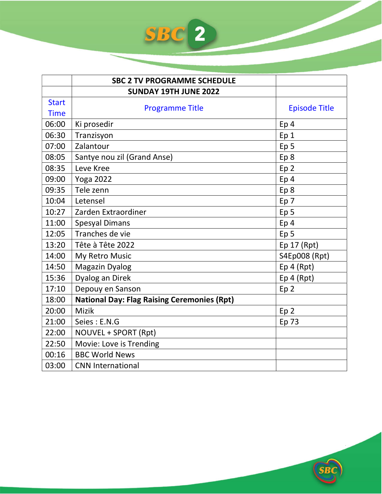|              | <b>SBC 2 TV PROGRAMME SCHEDULE</b>                 |                      |
|--------------|----------------------------------------------------|----------------------|
|              | <b>SUNDAY 19TH JUNE 2022</b>                       |                      |
| <b>Start</b> |                                                    |                      |
| <b>Time</b>  | <b>Programme Title</b>                             | <b>Episode Title</b> |
| 06:00        | Ki prosedir                                        | Ep <sub>4</sub>      |
| 06:30        | Tranzisyon                                         | Ep <sub>1</sub>      |
| 07:00        | Zalantour                                          | Ep <sub>5</sub>      |
| 08:05        | Santye nou zil (Grand Anse)                        | Ep <sub>8</sub>      |
| 08:35        | Leve Kree                                          | Ep <sub>2</sub>      |
| 09:00        | <b>Yoga 2022</b>                                   | Ep <sub>4</sub>      |
| 09:35        | Tele zenn                                          | Ep <sub>8</sub>      |
| 10:04        | Letensel                                           | Ep 7                 |
| 10:27        | Zarden Extraordiner                                | Ep <sub>5</sub>      |
| 11:00        | <b>Spesyal Dimans</b>                              | Ep <sub>4</sub>      |
| 12:05        | Tranches de vie                                    | Ep <sub>5</sub>      |
| 13:20        | Tête à Tête 2022                                   | Ep $17$ (Rpt)        |
| 14:00        | My Retro Music                                     | S4Ep008 (Rpt)        |
| 14:50        | <b>Magazin Dyalog</b>                              | Ep 4 (Rpt)           |
| 15:36        | Dyalog an Direk                                    | Ep 4 (Rpt)           |
| 17:10        | Depouy en Sanson                                   | Ep <sub>2</sub>      |
| 18:00        | <b>National Day: Flag Raising Ceremonies (Rpt)</b> |                      |
| 20:00        | <b>Mizik</b>                                       | Ep <sub>2</sub>      |
| 21:00        | Seies: E.N.G                                       | Ep 73                |
| 22:00        | NOUVEL + SPORT (Rpt)                               |                      |
| 22:50        | Movie: Love is Trending                            |                      |
| 00:16        | <b>BBC World News</b>                              |                      |
| 03:00        | <b>CNN International</b>                           |                      |

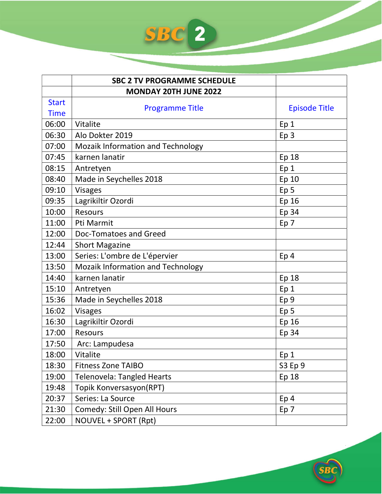|              | <b>SBC 2 TV PROGRAMME SCHEDULE</b>       |                      |
|--------------|------------------------------------------|----------------------|
|              | <b>MONDAY 20TH JUNE 2022</b>             |                      |
| <b>Start</b> | <b>Programme Title</b>                   | <b>Episode Title</b> |
| <b>Time</b>  |                                          |                      |
| 06:00        | Vitalite                                 | Ep 1                 |
| 06:30        | Alo Dokter 2019                          | Ep <sub>3</sub>      |
| 07:00        | Mozaik Information and Technology        |                      |
| 07:45        | karnen lanatir                           | Ep 18                |
| 08:15        | Antretyen                                | Ep 1                 |
| 08:40        | Made in Seychelles 2018                  | Ep 10                |
| 09:10        | <b>Visages</b>                           | Ep <sub>5</sub>      |
| 09:35        | Lagrikiltir Ozordi                       | Ep 16                |
| 10:00        | <b>Resours</b>                           | Ep 34                |
| 11:00        | Pti Marmit                               | Ep 7                 |
| 12:00        | Doc-Tomatoes and Greed                   |                      |
| 12:44        | <b>Short Magazine</b>                    |                      |
| 13:00        | Series: L'ombre de L'épervier            | Ep <sub>4</sub>      |
| 13:50        | <b>Mozaik Information and Technology</b> |                      |
| 14:40        | karnen lanatir                           | Ep 18                |
| 15:10        | Antretyen                                | Ep <sub>1</sub>      |
| 15:36        | Made in Seychelles 2018                  | Ep <sub>9</sub>      |
| 16:02        | <b>Visages</b>                           | Ep <sub>5</sub>      |
| 16:30        | Lagrikiltir Ozordi                       | Ep 16                |
| 17:00        | <b>Resours</b>                           | Ep 34                |
| 17:50        | Arc: Lampudesa                           |                      |
| 18:00        | Vitalite                                 | Ep <sub>1</sub>      |
| 18:30        | <b>Fitness Zone TAIBO</b>                | S3 Ep 9              |
| 19:00        | <b>Telenovela: Tangled Hearts</b>        | Ep 18                |
| 19:48        | Topik Konversasyon(RPT)                  |                      |
| 20:37        | Series: La Source                        | Ep <sub>4</sub>      |
| 21:30        | Comedy: Still Open All Hours             | Ep 7                 |
| 22:00        | NOUVEL + SPORT (Rpt)                     |                      |

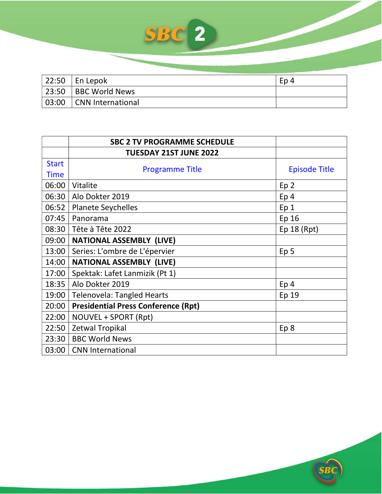

| 22:50 | En Lepok              | Ep <sub>4</sub> |
|-------|-----------------------|-----------------|
| 23:50 | <b>BBC World News</b> |                 |
| 03:00 | CNN International     |                 |

|              | <b>SBC 2 TV PROGRAMME SCHEDULE</b>         |                      |
|--------------|--------------------------------------------|----------------------|
|              | <b>TUESDAY 21ST JUNE 2022</b>              |                      |
| <b>Start</b> | <b>Programme Title</b>                     | <b>Episode Title</b> |
| <b>Time</b>  |                                            |                      |
| 06:00        | Vitalite                                   | Ep <sub>2</sub>      |
| 06:30        | Alo Dokter 2019                            | Ep <sub>4</sub>      |
| 06:52        | <b>Planete Seychelles</b>                  | Ep <sub>1</sub>      |
| 07:45        | Panorama                                   | Ep 16                |
| 08:30        | Tête à Tête 2022                           | Ep 18 (Rpt)          |
| 09:00        | <b>NATIONAL ASSEMBLY (LIVE)</b>            |                      |
| 13:00        | Series: L'ombre de L'épervier              | Ep <sub>5</sub>      |
| 14:00        | <b>NATIONAL ASSEMBLY (LIVE)</b>            |                      |
| 17:00        | Spektak: Lafet Lanmizik (Pt 1)             |                      |
| 18:35        | Alo Dokter 2019                            | Ep <sub>4</sub>      |
| 19:00        | <b>Telenovela: Tangled Hearts</b>          | Ep 19                |
| 20:00        | <b>Presidential Press Conference (Rpt)</b> |                      |
| 22:00        | NOUVEL + SPORT (Rpt)                       |                      |
| 22:50        | Zetwal Tropikal                            | Ep 8                 |
| 23:30        | <b>BBC World News</b>                      |                      |
| 03:00        | <b>CNN International</b>                   |                      |

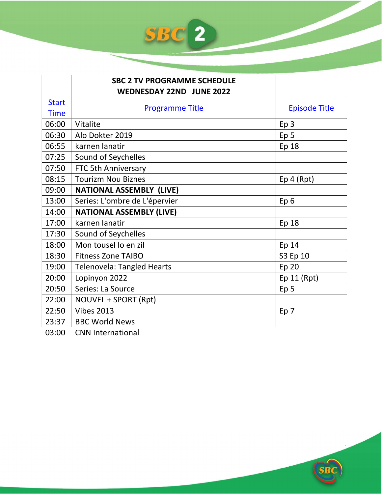|              | <b>SBC 2 TV PROGRAMME SCHEDULE</b> |                      |
|--------------|------------------------------------|----------------------|
|              | <b>WEDNESDAY 22ND JUNE 2022</b>    |                      |
| <b>Start</b> |                                    |                      |
| <b>Time</b>  | <b>Programme Title</b>             | <b>Episode Title</b> |
| 06:00        | Vitalite                           | Ep <sub>3</sub>      |
| 06:30        | Alo Dokter 2019                    | Ep <sub>5</sub>      |
| 06:55        | karnen lanatir                     | Ep 18                |
| 07:25        | Sound of Seychelles                |                      |
| 07:50        | FTC 5th Anniversary                |                      |
| 08:15        | <b>Tourizm Nou Biznes</b>          | Ep 4 (Rpt)           |
| 09:00        | <b>NATIONAL ASSEMBLY (LIVE)</b>    |                      |
| 13:00        | Series: L'ombre de L'épervier      | Ep <sub>6</sub>      |
| 14:00        | <b>NATIONAL ASSEMBLY (LIVE)</b>    |                      |
| 17:00        | karnen lanatir                     | Ep 18                |
| 17:30        | Sound of Seychelles                |                      |
| 18:00        | Mon tousel lo en zil               | Ep 14                |
| 18:30        | <b>Fitness Zone TAIBO</b>          | S3 Ep 10             |
| 19:00        | <b>Telenovela: Tangled Hearts</b>  | Ep 20                |
| 20:00        | Lopinyon 2022                      | Ep 11 (Rpt)          |
| 20:50        | Series: La Source                  | Ep <sub>5</sub>      |
| 22:00        | NOUVEL + SPORT (Rpt)               |                      |
| 22:50        | <b>Vibes 2013</b>                  | Ep 7                 |
| 23:37        | <b>BBC World News</b>              |                      |
| 03:00        | <b>CNN International</b>           |                      |

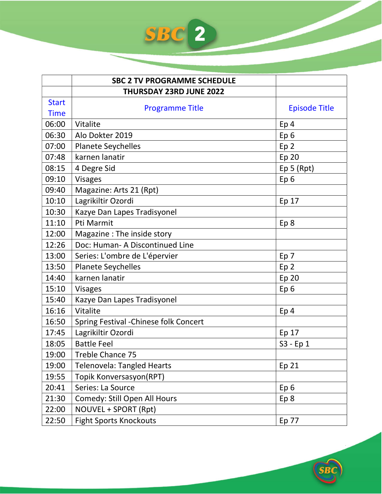|              | <b>SBC 2 TV PROGRAMME SCHEDULE</b>     |                      |
|--------------|----------------------------------------|----------------------|
|              | THURSDAY 23RD JUNE 2022                |                      |
| <b>Start</b> |                                        | <b>Episode Title</b> |
| <b>Time</b>  | <b>Programme Title</b>                 |                      |
| 06:00        | Vitalite                               | Ep <sub>4</sub>      |
| 06:30        | Alo Dokter 2019                        | Ep <sub>6</sub>      |
| 07:00        | <b>Planete Seychelles</b>              | Ep <sub>2</sub>      |
| 07:48        | karnen lanatir                         | Ep 20                |
| 08:15        | 4 Degre Sid                            | Ep 5 (Rpt)           |
| 09:10        | <b>Visages</b>                         | Ep <sub>6</sub>      |
| 09:40        | Magazine: Arts 21 (Rpt)                |                      |
| 10:10        | Lagrikiltir Ozordi                     | Ep 17                |
| 10:30        | Kazye Dan Lapes Tradisyonel            |                      |
| 11:10        | Pti Marmit                             | Ep 8                 |
| 12:00        | Magazine : The inside story            |                      |
| 12:26        | Doc: Human- A Discontinued Line        |                      |
| 13:00        | Series: L'ombre de L'épervier          | Ep 7                 |
| 13:50        | <b>Planete Seychelles</b>              | Ep <sub>2</sub>      |
| 14:40        | karnen lanatir                         | <b>Ep 20</b>         |
| 15:10        | <b>Visages</b>                         | Ep <sub>6</sub>      |
| 15:40        | Kazye Dan Lapes Tradisyonel            |                      |
| 16:16        | Vitalite                               | Ep <sub>4</sub>      |
| 16:50        | Spring Festival - Chinese folk Concert |                      |
| 17:45        | Lagrikiltir Ozordi                     | Ep 17                |
| 18:05        | <b>Battle Feel</b>                     | S3 - Ep 1            |
| 19:00        | Treble Chance 75                       |                      |
| 19:00        | <b>Telenovela: Tangled Hearts</b>      | Ep 21                |
| 19:55        | Topik Konversasyon(RPT)                |                      |
| 20:41        | Series: La Source                      | Ep <sub>6</sub>      |
| 21:30        | Comedy: Still Open All Hours           | Ep 8                 |
| 22:00        | NOUVEL + SPORT (Rpt)                   |                      |
| 22:50        | <b>Fight Sports Knockouts</b>          | Ep 77                |

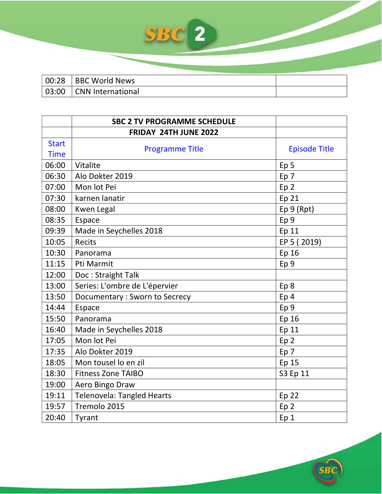| 00:28 | BBC World News            |  |
|-------|---------------------------|--|
|       | 03:00   CNN International |  |
|       |                           |  |

|              | <b>SBC 2 TV PROGRAMME SCHEDULE</b> |                      |
|--------------|------------------------------------|----------------------|
|              | FRIDAY 24TH JUNE 2022              |                      |
| <b>Start</b> | <b>Programme Title</b>             | <b>Episode Title</b> |
| <b>Time</b>  |                                    |                      |
| 06:00        | Vitalite                           | Ep <sub>5</sub>      |
| 06:30        | Alo Dokter 2019                    | Ep <sub>7</sub>      |
| 07:00        | Mon lot Pei                        | Ep <sub>2</sub>      |
| 07:30        | karnen lanatir                     | Ep <sub>21</sub>     |
| 08:00        | <b>Kwen Legal</b>                  | Ep 9 (Rpt)           |
| 08:35        | Espace                             | Ep <sub>9</sub>      |
| 09:39        | Made in Seychelles 2018            | Ep 11                |
| 10:05        | <b>Recits</b>                      | EP 5 (2019)          |
| 10:30        | Panorama                           | Ep 16                |
| 11:15        | Pti Marmit                         | Ep <sub>9</sub>      |
| 12:00        | Doc: Straight Talk                 |                      |
| 13:00        | Series: L'ombre de L'épervier      | Ep <sub>8</sub>      |
| 13:50        | Documentary: Sworn to Secrecy      | Ep <sub>4</sub>      |
| 14:44        | Espace                             | Ep <sub>9</sub>      |
| 15:50        | Panorama                           | Ep 16                |
| 16:40        | Made in Seychelles 2018            | Ep 11                |
| 17:05        | Mon lot Pei                        | Ep <sub>2</sub>      |
| 17:35        | Alo Dokter 2019                    | Ep <sub>7</sub>      |
| 18:05        | Mon tousel lo en zil               | Ep 15                |
| 18:30        | <b>Fitness Zone TAIBO</b>          | S3 Ep 11             |
| 19:00        | Aero Bingo Draw                    |                      |
| 19:11        | <b>Telenovela: Tangled Hearts</b>  | Ep <sub>22</sub>     |
| 19:57        | Tremolo 2015                       | Ep <sub>2</sub>      |
| 20:40        | Tyrant                             | Ep <sub>1</sub>      |